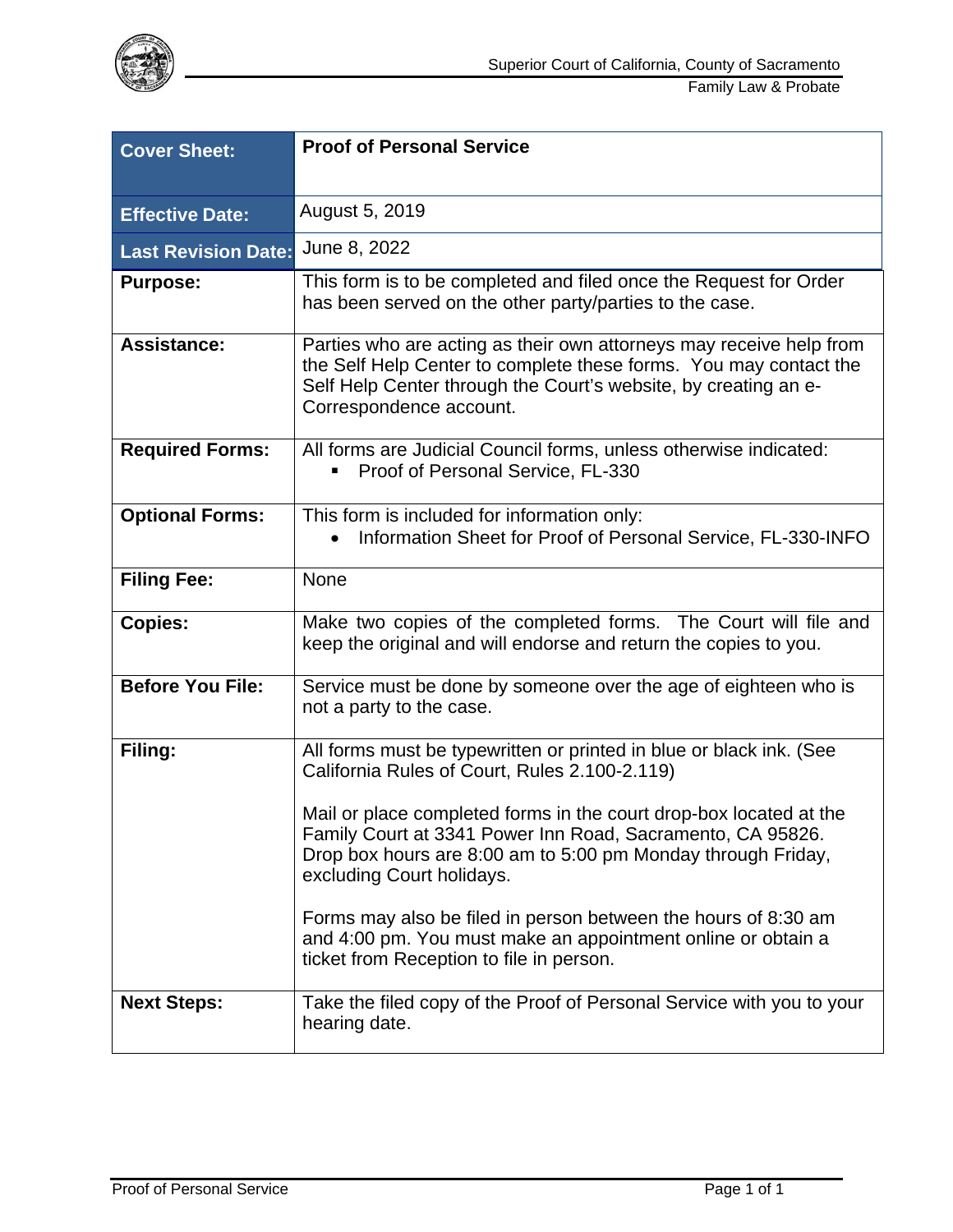

| <b>Cover Sheet:</b>        | <b>Proof of Personal Service</b>                                                                                                                                                                                                       |  |
|----------------------------|----------------------------------------------------------------------------------------------------------------------------------------------------------------------------------------------------------------------------------------|--|
| <b>Effective Date:</b>     | August 5, 2019                                                                                                                                                                                                                         |  |
| <b>Last Revision Date:</b> | June 8, 2022                                                                                                                                                                                                                           |  |
| <b>Purpose:</b>            | This form is to be completed and filed once the Request for Order<br>has been served on the other party/parties to the case.                                                                                                           |  |
| <b>Assistance:</b>         | Parties who are acting as their own attorneys may receive help from<br>the Self Help Center to complete these forms. You may contact the<br>Self Help Center through the Court's website, by creating an e-<br>Correspondence account. |  |
| <b>Required Forms:</b>     | All forms are Judicial Council forms, unless otherwise indicated:<br>Proof of Personal Service, FL-330                                                                                                                                 |  |
| <b>Optional Forms:</b>     | This form is included for information only:<br>Information Sheet for Proof of Personal Service, FL-330-INFO                                                                                                                            |  |
| <b>Filing Fee:</b>         | None                                                                                                                                                                                                                                   |  |
| <b>Copies:</b>             | Make two copies of the completed forms. The Court will file and<br>keep the original and will endorse and return the copies to you.                                                                                                    |  |
| <b>Before You File:</b>    | Service must be done by someone over the age of eighteen who is<br>not a party to the case.                                                                                                                                            |  |
| Filing:                    | All forms must be typewritten or printed in blue or black ink. (See<br>California Rules of Court, Rules 2.100-2.119)                                                                                                                   |  |
|                            | Mail or place completed forms in the court drop-box located at the<br>Family Court at 3341 Power Inn Road, Sacramento, CA 95826.<br>Drop box hours are 8:00 am to 5:00 pm Monday through Friday,<br>excluding Court holidays.          |  |
|                            | Forms may also be filed in person between the hours of 8:30 am<br>and 4:00 pm. You must make an appointment online or obtain a<br>ticket from Reception to file in person.                                                             |  |
| <b>Next Steps:</b>         | Take the filed copy of the Proof of Personal Service with you to your<br>hearing date.                                                                                                                                                 |  |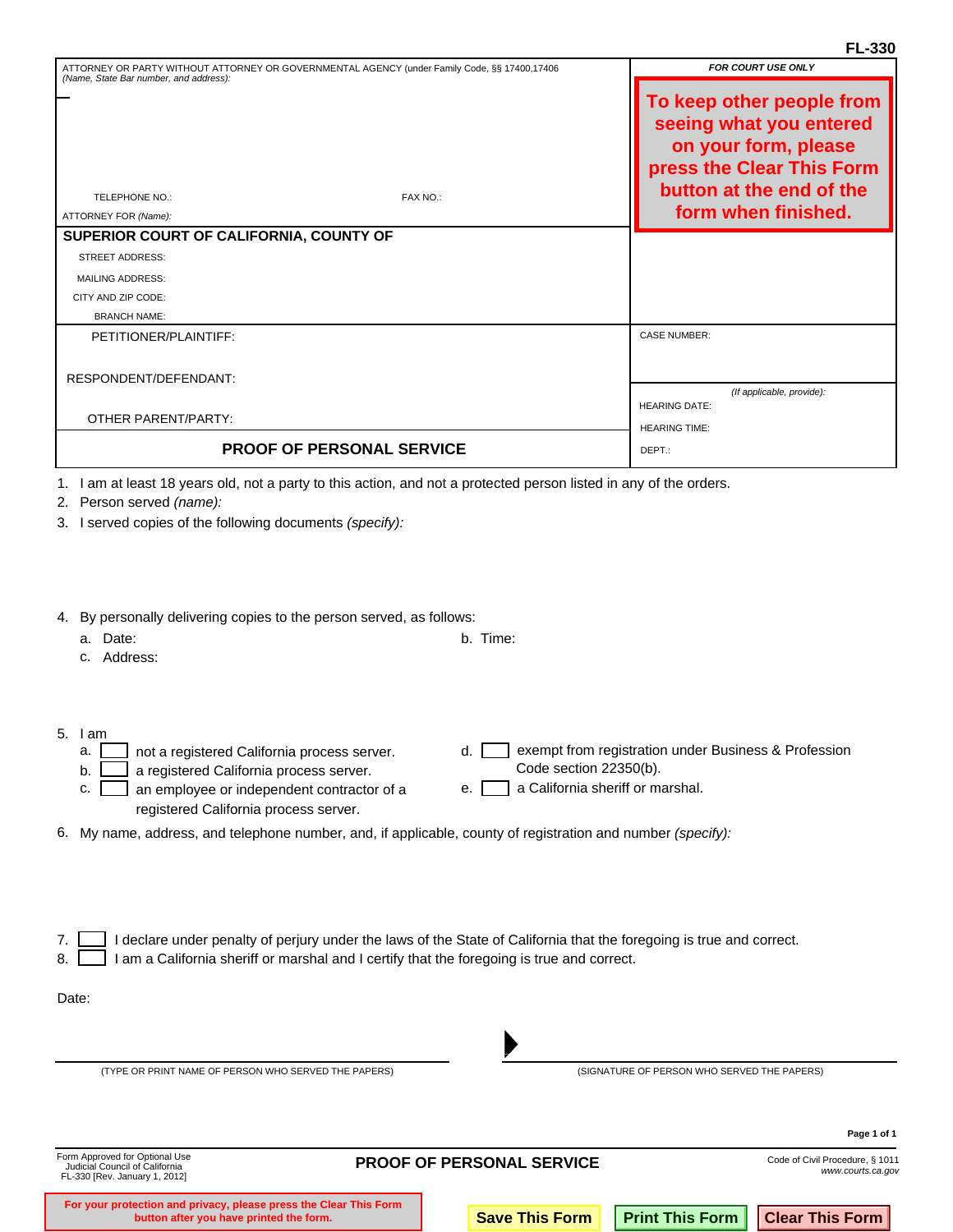| ATTORNEY OR PARTY WITHOUT ATTORNEY OR GOVERNMENTAL AGENCY (under Family Code, §§ 17400,17406<br>(Name, State Bar number, and address): | <b>FOR COURT USE ONLY</b> |                                                                                                                                                              |
|----------------------------------------------------------------------------------------------------------------------------------------|---------------------------|--------------------------------------------------------------------------------------------------------------------------------------------------------------|
| <b>TELEPHONE NO.:</b><br>ATTORNEY FOR (Name):                                                                                          | FAX NO.:                  | To keep other people from<br>seeing what you entered<br>on your form, please<br>press the Clear This Form<br>button at the end of the<br>form when finished. |
| SUPERIOR COURT OF CALIFORNIA, COUNTY OF                                                                                                |                           |                                                                                                                                                              |
| <b>STREET ADDRESS:</b>                                                                                                                 |                           |                                                                                                                                                              |
| <b>MAILING ADDRESS:</b>                                                                                                                |                           |                                                                                                                                                              |
| CITY AND ZIP CODE:                                                                                                                     |                           |                                                                                                                                                              |
| <b>BRANCH NAME:</b>                                                                                                                    |                           |                                                                                                                                                              |
| PETITIONER/PLAINTIFF:                                                                                                                  |                           | <b>CASE NUMBER:</b>                                                                                                                                          |
|                                                                                                                                        |                           |                                                                                                                                                              |
| RESPONDENT/DEFENDANT:                                                                                                                  |                           |                                                                                                                                                              |
|                                                                                                                                        |                           | (If applicable, provide):<br><b>HEARING DATE:</b>                                                                                                            |
| <b>OTHER PARENT/PARTY:</b>                                                                                                             |                           | <b>HEARING TIME:</b>                                                                                                                                         |
| <b>PROOF OF PERSONAL SERVICE</b>                                                                                                       |                           | DEPT.:                                                                                                                                                       |
|                                                                                                                                        |                           |                                                                                                                                                              |

1. I am at least 18 years old, not a party to this action, and not a protected person listed in any of the orders.

2. Person served *(name):* 

3. I served copies of the following documents *(specify):* 

4. By personally delivering copies to the person served, as follows:

|    | Date:<br>a.<br>Address:                                                                                                                                                                                 | b. Time:                                                                                                                       |
|----|---------------------------------------------------------------------------------------------------------------------------------------------------------------------------------------------------------|--------------------------------------------------------------------------------------------------------------------------------|
| 5. | l am<br>not a registered California process server.<br>а.<br>a registered California process server.<br>b.<br>an employee or independent contractor of a<br>c.<br>registered California process server. | exempt from registration under Business & Profession<br>d.<br>Code section 22350(b).<br>a California sheriff or marshal.<br>е. |
|    | 6. My name, address, and telephone number, and, if applicable, county of registration and number (specify):                                                                                             |                                                                                                                                |
| 8. | am a California sheriff or marshal and I certify that the foregoing is true and correct.                                                                                                                | declare under penalty of perjury under the laws of the State of California that the foregoing is true and correct.             |
|    | Date:                                                                                                                                                                                                   |                                                                                                                                |
|    | (TYPE OR PRINT NAME OF PERSON WHO SERVED THE PAPERS)                                                                                                                                                    | (SIGNATURE OF PERSON WHO SERVED THE PAPERS)                                                                                    |

**button after you have printed the form. Save This Form Print This Form Clear This Form** 

**Page 1 of 1**